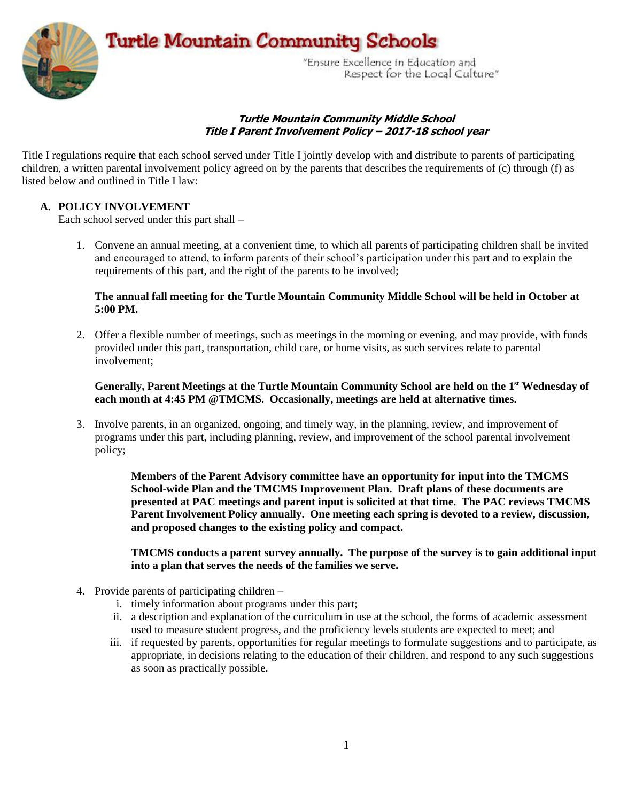Turtle Mountain Community Schools



"Ensure Excellence in Education and Respect for the Local Culture"

### **Turtle Mountain Community Middle School Title I Parent Involvement Policy – 2017-18 school year**

Title I regulations require that each school served under Title I jointly develop with and distribute to parents of participating children, a written parental involvement policy agreed on by the parents that describes the requirements of (c) through (f) as listed below and outlined in Title I law:

## **A. POLICY INVOLVEMENT**

Each school served under this part shall –

1. Convene an annual meeting, at a convenient time, to which all parents of participating children shall be invited and encouraged to attend, to inform parents of their school's participation under this part and to explain the requirements of this part, and the right of the parents to be involved;

### **The annual fall meeting for the Turtle Mountain Community Middle School will be held in October at 5:00 PM.**

2. Offer a flexible number of meetings, such as meetings in the morning or evening, and may provide, with funds provided under this part, transportation, child care, or home visits, as such services relate to parental involvement;

### **Generally, Parent Meetings at the Turtle Mountain Community School are held on the 1st Wednesday of each month at 4:45 PM @TMCMS. Occasionally, meetings are held at alternative times.**

3. Involve parents, in an organized, ongoing, and timely way, in the planning, review, and improvement of programs under this part, including planning, review, and improvement of the school parental involvement policy;

> **Members of the Parent Advisory committee have an opportunity for input into the TMCMS School-wide Plan and the TMCMS Improvement Plan. Draft plans of these documents are presented at PAC meetings and parent input is solicited at that time. The PAC reviews TMCMS Parent Involvement Policy annually. One meeting each spring is devoted to a review, discussion, and proposed changes to the existing policy and compact.**

**TMCMS conducts a parent survey annually. The purpose of the survey is to gain additional input into a plan that serves the needs of the families we serve.**

- 4. Provide parents of participating children
	- i. timely information about programs under this part;
	- ii. a description and explanation of the curriculum in use at the school, the forms of academic assessment used to measure student progress, and the proficiency levels students are expected to meet; and
	- iii. if requested by parents, opportunities for regular meetings to formulate suggestions and to participate, as appropriate, in decisions relating to the education of their children, and respond to any such suggestions as soon as practically possible.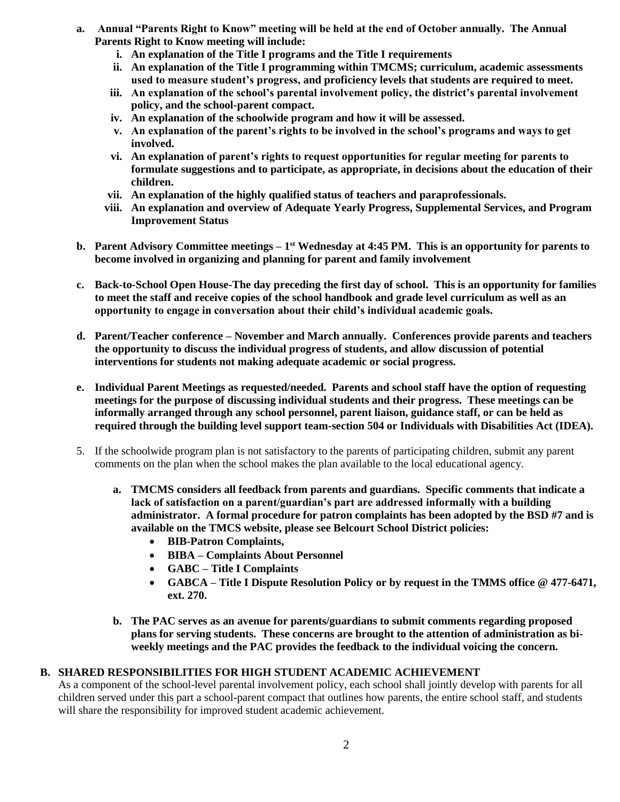- **a. Annual "Parents Right to Know" meeting will be held at the end of October annually. The Annual Parents Right to Know meeting will include:**
	- **i. An explanation of the Title I programs and the Title I requirements**
	- **ii. An explanation of the Title I programming within TMCMS; curriculum, academic assessments used to measure student's progress, and proficiency levels that students are required to meet.**
	- **iii. An explanation of the school's parental involvement policy, the district's parental involvement policy, and the school-parent compact.**
	- **iv. An explanation of the schoolwide program and how it will be assessed.**
	- **v. An explanation of the parent's rights to be involved in the school's programs and ways to get involved.**
	- **vi. An explanation of parent's rights to request opportunities for regular meeting for parents to formulate suggestions and to participate, as appropriate, in decisions about the education of their children.**
	- **vii. An explanation of the highly qualified status of teachers and paraprofessionals.**
	- **viii. An explanation and overview of Adequate Yearly Progress, Supplemental Services, and Program Improvement Status**
- **b. Parent Advisory Committee meetings – 1 st Wednesday at 4:45 PM. This is an opportunity for parents to become involved in organizing and planning for parent and family involvement**
- **c. Back-to-School Open House-The day preceding the first day of school. This is an opportunity for families to meet the staff and receive copies of the school handbook and grade level curriculum as well as an opportunity to engage in conversation about their child's individual academic goals.**
- **d. Parent/Teacher conference – November and March annually. Conferences provide parents and teachers the opportunity to discuss the individual progress of students, and allow discussion of potential interventions for students not making adequate academic or social progress.**
- **e. Individual Parent Meetings as requested/needed. Parents and school staff have the option of requesting meetings for the purpose of discussing individual students and their progress. These meetings can be informally arranged through any school personnel, parent liaison, guidance staff, or can be held as required through the building level support team-section 504 or Individuals with Disabilities Act (IDEA).**
- 5. If the schoolwide program plan is not satisfactory to the parents of participating children, submit any parent comments on the plan when the school makes the plan available to the local educational agency.
	- **a. TMCMS considers all feedback from parents and guardians. Specific comments that indicate a lack of satisfaction on a parent/guardian's part are addressed informally with a building administrator. A formal procedure for patron complaints has been adopted by the BSD #7 and is available on the TMCS website, please see Belcourt School District policies:** 
		- **BIB-Patron Complaints,**
		- **BIBA – Complaints About Personnel**
		- **GABC – Title I Complaints**
		- **GABCA – Title I Dispute Resolution Policy or by request in the TMMS office @ 477-6471, ext. 270.**
	- **b. The PAC serves as an avenue for parents/guardians to submit comments regarding proposed plans for serving students. These concerns are brought to the attention of administration as biweekly meetings and the PAC provides the feedback to the individual voicing the concern.**

# **B. SHARED RESPONSIBILITIES FOR HIGH STUDENT ACADEMIC ACHIEVEMENT**

As a component of the school-level parental involvement policy, each school shall jointly develop with parents for all children served under this part a school-parent compact that outlines how parents, the entire school staff, and students will share the responsibility for improved student academic achievement.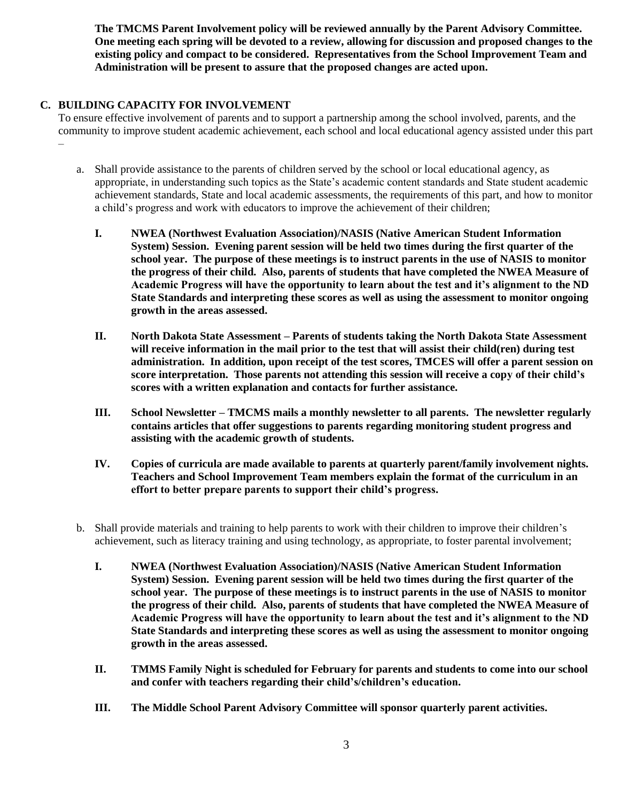**The TMCMS Parent Involvement policy will be reviewed annually by the Parent Advisory Committee. One meeting each spring will be devoted to a review, allowing for discussion and proposed changes to the existing policy and compact to be considered. Representatives from the School Improvement Team and Administration will be present to assure that the proposed changes are acted upon.** 

## **C. BUILDING CAPACITY FOR INVOLVEMENT**

To ensure effective involvement of parents and to support a partnership among the school involved, parents, and the community to improve student academic achievement, each school and local educational agency assisted under this part –

- a. Shall provide assistance to the parents of children served by the school or local educational agency, as appropriate, in understanding such topics as the State's academic content standards and State student academic achievement standards, State and local academic assessments, the requirements of this part, and how to monitor a child's progress and work with educators to improve the achievement of their children;
	- **I. NWEA (Northwest Evaluation Association)/NASIS (Native American Student Information System) Session. Evening parent session will be held two times during the first quarter of the school year. The purpose of these meetings is to instruct parents in the use of NASIS to monitor the progress of their child. Also, parents of students that have completed the NWEA Measure of Academic Progress will have the opportunity to learn about the test and it's alignment to the ND State Standards and interpreting these scores as well as using the assessment to monitor ongoing growth in the areas assessed.**
	- **II. North Dakota State Assessment – Parents of students taking the North Dakota State Assessment will receive information in the mail prior to the test that will assist their child(ren) during test administration. In addition, upon receipt of the test scores, TMCES will offer a parent session on score interpretation. Those parents not attending this session will receive a copy of their child's scores with a written explanation and contacts for further assistance.**
	- **III. School Newsletter – TMCMS mails a monthly newsletter to all parents. The newsletter regularly contains articles that offer suggestions to parents regarding monitoring student progress and assisting with the academic growth of students.**
	- **IV. Copies of curricula are made available to parents at quarterly parent/family involvement nights. Teachers and School Improvement Team members explain the format of the curriculum in an effort to better prepare parents to support their child's progress.**
- b. Shall provide materials and training to help parents to work with their children to improve their children's achievement, such as literacy training and using technology, as appropriate, to foster parental involvement;
	- **I. NWEA (Northwest Evaluation Association)/NASIS (Native American Student Information System) Session. Evening parent session will be held two times during the first quarter of the school year. The purpose of these meetings is to instruct parents in the use of NASIS to monitor the progress of their child. Also, parents of students that have completed the NWEA Measure of Academic Progress will have the opportunity to learn about the test and it's alignment to the ND State Standards and interpreting these scores as well as using the assessment to monitor ongoing growth in the areas assessed.**
	- **II. TMMS Family Night is scheduled for February for parents and students to come into our school and confer with teachers regarding their child's/children's education.**
	- **III. The Middle School Parent Advisory Committee will sponsor quarterly parent activities.**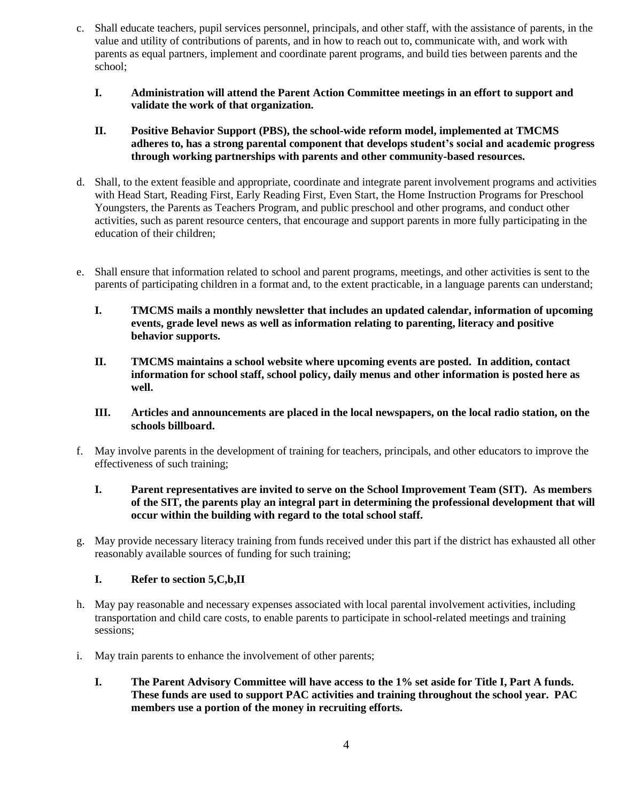- c. Shall educate teachers, pupil services personnel, principals, and other staff, with the assistance of parents, in the value and utility of contributions of parents, and in how to reach out to, communicate with, and work with parents as equal partners, implement and coordinate parent programs, and build ties between parents and the school;
	- **I. Administration will attend the Parent Action Committee meetings in an effort to support and validate the work of that organization.**
	- **II. Positive Behavior Support (PBS), the school-wide reform model, implemented at TMCMS adheres to, has a strong parental component that develops student's social and academic progress through working partnerships with parents and other community-based resources.**
- d. Shall, to the extent feasible and appropriate, coordinate and integrate parent involvement programs and activities with Head Start, Reading First, Early Reading First, Even Start, the Home Instruction Programs for Preschool Youngsters, the Parents as Teachers Program, and public preschool and other programs, and conduct other activities, such as parent resource centers, that encourage and support parents in more fully participating in the education of their children;
- e. Shall ensure that information related to school and parent programs, meetings, and other activities is sent to the parents of participating children in a format and, to the extent practicable, in a language parents can understand;
	- **I. TMCMS mails a monthly newsletter that includes an updated calendar, information of upcoming events, grade level news as well as information relating to parenting, literacy and positive behavior supports.**
	- **II. TMCMS maintains a school website where upcoming events are posted. In addition, contact information for school staff, school policy, daily menus and other information is posted here as well.**
	- **III. Articles and announcements are placed in the local newspapers, on the local radio station, on the schools billboard.**
- f. May involve parents in the development of training for teachers, principals, and other educators to improve the effectiveness of such training;
	- **I. Parent representatives are invited to serve on the School Improvement Team (SIT). As members of the SIT, the parents play an integral part in determining the professional development that will occur within the building with regard to the total school staff.**
- g. May provide necessary literacy training from funds received under this part if the district has exhausted all other reasonably available sources of funding for such training;

# **I. Refer to section 5,C,b,II**

- h. May pay reasonable and necessary expenses associated with local parental involvement activities, including transportation and child care costs, to enable parents to participate in school-related meetings and training sessions;
- i. May train parents to enhance the involvement of other parents;
	- **I. The Parent Advisory Committee will have access to the 1% set aside for Title I, Part A funds. These funds are used to support PAC activities and training throughout the school year. PAC members use a portion of the money in recruiting efforts.**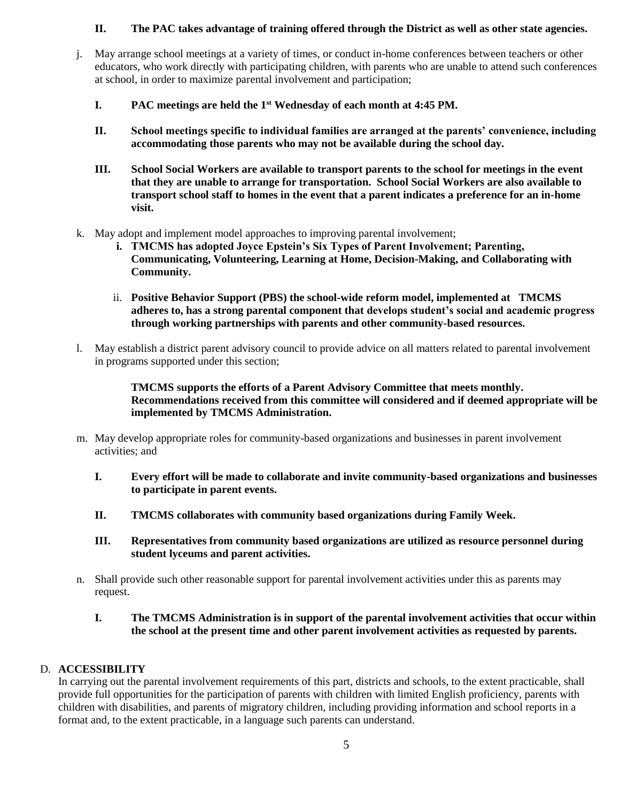# **II. The PAC takes advantage of training offered through the District as well as other state agencies.**

- j. May arrange school meetings at a variety of times, or conduct in-home conferences between teachers or other educators, who work directly with participating children, with parents who are unable to attend such conferences at school, in order to maximize parental involvement and participation;
	- **I. PAC meetings are held the 1st Wednesday of each month at 4:45 PM.**
	- **II. School meetings specific to individual families are arranged at the parents' convenience, including accommodating those parents who may not be available during the school day.**
	- **III. School Social Workers are available to transport parents to the school for meetings in the event that they are unable to arrange for transportation. School Social Workers are also available to transport school staff to homes in the event that a parent indicates a preference for an in-home visit.**
- k. May adopt and implement model approaches to improving parental involvement;
	- **i. TMCMS has adopted Joyce Epstein's Six Types of Parent Involvement; Parenting, Communicating, Volunteering, Learning at Home, Decision-Making, and Collaborating with Community.**
	- ii. **Positive Behavior Support (PBS) the school-wide reform model, implemented at TMCMS adheres to, has a strong parental component that develops student's social and academic progress through working partnerships with parents and other community-based resources.**
- l. May establish a district parent advisory council to provide advice on all matters related to parental involvement in programs supported under this section;

**TMCMS supports the efforts of a Parent Advisory Committee that meets monthly. Recommendations received from this committee will considered and if deemed appropriate will be implemented by TMCMS Administration.**

- m. May develop appropriate roles for community-based organizations and businesses in parent involvement activities; and
	- **I. Every effort will be made to collaborate and invite community-based organizations and businesses to participate in parent events.**
	- **II. TMCMS collaborates with community based organizations during Family Week.**
	- **III. Representatives from community based organizations are utilized as resource personnel during student lyceums and parent activities.**
- n. Shall provide such other reasonable support for parental involvement activities under this as parents may request.
	- **I. The TMCMS Administration is in support of the parental involvement activities that occur within the school at the present time and other parent involvement activities as requested by parents.**

## D. **ACCESSIBILITY**

In carrying out the parental involvement requirements of this part, districts and schools, to the extent practicable, shall provide full opportunities for the participation of parents with children with limited English proficiency, parents with children with disabilities, and parents of migratory children, including providing information and school reports in a format and, to the extent practicable, in a language such parents can understand.